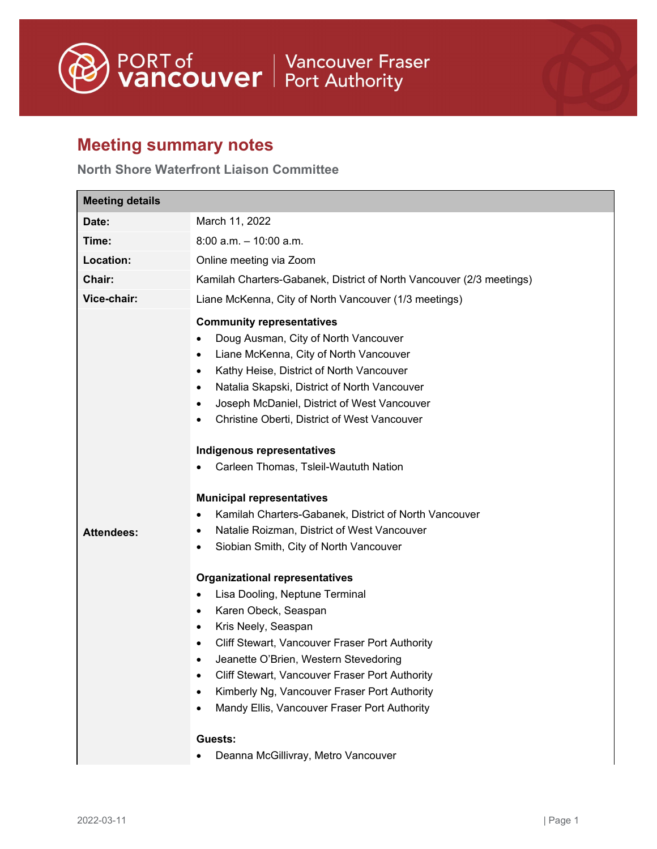

## **Meeting summary notes**

**North Shore Waterfront Liaison Committee**

| <b>Meeting details</b> |                                                                                                                                                                                                                                                                                                                                                                                                                                                                                                                                                                                                                                                                                                                                                                                                                                                                                                                                                                                                                                                                                                                |
|------------------------|----------------------------------------------------------------------------------------------------------------------------------------------------------------------------------------------------------------------------------------------------------------------------------------------------------------------------------------------------------------------------------------------------------------------------------------------------------------------------------------------------------------------------------------------------------------------------------------------------------------------------------------------------------------------------------------------------------------------------------------------------------------------------------------------------------------------------------------------------------------------------------------------------------------------------------------------------------------------------------------------------------------------------------------------------------------------------------------------------------------|
| Date:                  | March 11, 2022                                                                                                                                                                                                                                                                                                                                                                                                                                                                                                                                                                                                                                                                                                                                                                                                                                                                                                                                                                                                                                                                                                 |
| Time:                  | $8:00$ a.m. $-10:00$ a.m.                                                                                                                                                                                                                                                                                                                                                                                                                                                                                                                                                                                                                                                                                                                                                                                                                                                                                                                                                                                                                                                                                      |
| Location:              | Online meeting via Zoom                                                                                                                                                                                                                                                                                                                                                                                                                                                                                                                                                                                                                                                                                                                                                                                                                                                                                                                                                                                                                                                                                        |
| Chair:                 | Kamilah Charters-Gabanek, District of North Vancouver (2/3 meetings)                                                                                                                                                                                                                                                                                                                                                                                                                                                                                                                                                                                                                                                                                                                                                                                                                                                                                                                                                                                                                                           |
| Vice-chair:            | Liane McKenna, City of North Vancouver (1/3 meetings)                                                                                                                                                                                                                                                                                                                                                                                                                                                                                                                                                                                                                                                                                                                                                                                                                                                                                                                                                                                                                                                          |
| <b>Attendees:</b>      | <b>Community representatives</b><br>Doug Ausman, City of North Vancouver<br>Liane McKenna, City of North Vancouver<br>٠<br>Kathy Heise, District of North Vancouver<br>٠<br>Natalia Skapski, District of North Vancouver<br>٠<br>Joseph McDaniel, District of West Vancouver<br>٠<br>Christine Oberti, District of West Vancouver<br>٠<br>Indigenous representatives<br>Carleen Thomas, Tsleil-Waututh Nation<br><b>Municipal representatives</b><br>Kamilah Charters-Gabanek, District of North Vancouver<br>٠<br>Natalie Roizman, District of West Vancouver<br>٠<br>Siobian Smith, City of North Vancouver<br><b>Organizational representatives</b><br>Lisa Dooling, Neptune Terminal<br>٠<br>Karen Obeck, Seaspan<br>$\bullet$<br>Kris Neely, Seaspan<br>٠<br>Cliff Stewart, Vancouver Fraser Port Authority<br>$\bullet$<br>Jeanette O'Brien, Western Stevedoring<br>٠<br>Cliff Stewart, Vancouver Fraser Port Authority<br>$\bullet$<br>Kimberly Ng, Vancouver Fraser Port Authority<br>$\bullet$<br>Mandy Ellis, Vancouver Fraser Port Authority<br>٠<br>Guests:<br>Deanna McGillivray, Metro Vancouver |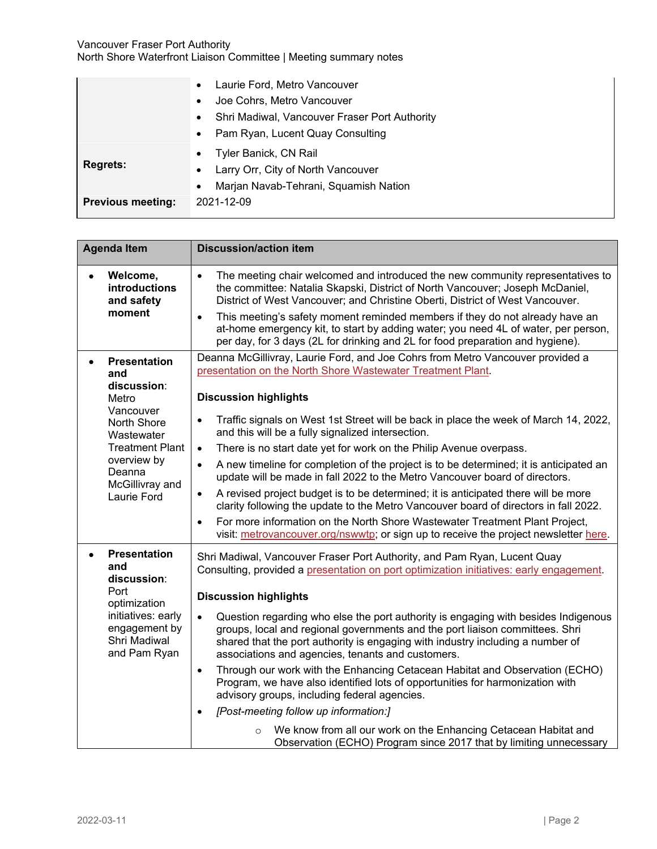|                          | Laurie Ford, Metro Vancouver                  |
|--------------------------|-----------------------------------------------|
|                          | Joe Cohrs, Metro Vancouver                    |
|                          | Shri Madiwal, Vancouver Fraser Port Authority |
|                          | Pam Ryan, Lucent Quay Consulting<br>$\bullet$ |
|                          | Tyler Banick, CN Rail                         |
| <b>Regrets:</b>          | Larry Orr, City of North Vancouver            |
|                          | Marjan Navab-Tehrani, Squamish Nation         |
| <b>Previous meeting:</b> | 2021-12-09                                    |
|                          |                                               |

|                                                                                | <b>Agenda Item</b><br><b>Discussion/action item</b>                                        |                                                                                                                                                                                                                                                                                                                                                                                                                                                                                                                                                                                                                                                                                                                                                                                                                                                                                                                                                         |  |
|--------------------------------------------------------------------------------|--------------------------------------------------------------------------------------------|---------------------------------------------------------------------------------------------------------------------------------------------------------------------------------------------------------------------------------------------------------------------------------------------------------------------------------------------------------------------------------------------------------------------------------------------------------------------------------------------------------------------------------------------------------------------------------------------------------------------------------------------------------------------------------------------------------------------------------------------------------------------------------------------------------------------------------------------------------------------------------------------------------------------------------------------------------|--|
| Welcome,<br>and safety<br>moment                                               | introductions                                                                              | The meeting chair welcomed and introduced the new community representatives to<br>$\bullet$<br>the committee: Natalia Skapski, District of North Vancouver; Joseph McDaniel,<br>District of West Vancouver; and Christine Oberti, District of West Vancouver.<br>This meeting's safety moment reminded members if they do not already have an<br>$\bullet$<br>at-home emergency kit, to start by adding water; you need 4L of water, per person,<br>per day, for 3 days (2L for drinking and 2L for food preparation and hygiene).                                                                                                                                                                                                                                                                                                                                                                                                                      |  |
| and<br>discussion:<br>Metro                                                    | <b>Presentation</b>                                                                        | Deanna McGillivray, Laurie Ford, and Joe Cohrs from Metro Vancouver provided a<br>presentation on the North Shore Wastewater Treatment Plant.<br><b>Discussion highlights</b>                                                                                                                                                                                                                                                                                                                                                                                                                                                                                                                                                                                                                                                                                                                                                                           |  |
| Vancouver<br>North Shore<br>Wastewater<br>overview by<br>Deanna<br>Laurie Ford | <b>Treatment Plant</b><br>McGillivray and                                                  | Traffic signals on West 1st Street will be back in place the week of March 14, 2022,<br>$\bullet$<br>and this will be a fully signalized intersection.<br>There is no start date yet for work on the Philip Avenue overpass.<br>$\bullet$<br>A new timeline for completion of the project is to be determined; it is anticipated an<br>$\bullet$<br>update will be made in fall 2022 to the Metro Vancouver board of directors.<br>A revised project budget is to be determined; it is anticipated there will be more<br>$\bullet$<br>clarity following the update to the Metro Vancouver board of directors in fall 2022.<br>For more information on the North Shore Wastewater Treatment Plant Project,<br>$\bullet$<br>visit: metrovancouver.org/nswwtp; or sign up to receive the project newsletter here.                                                                                                                                          |  |
| and<br>discussion:<br>Port<br>optimization                                     | <b>Presentation</b><br>initiatives: early<br>engagement by<br>Shri Madiwal<br>and Pam Ryan | Shri Madiwal, Vancouver Fraser Port Authority, and Pam Ryan, Lucent Quay<br>Consulting, provided a presentation on port optimization initiatives: early engagement.<br><b>Discussion highlights</b><br>Question regarding who else the port authority is engaging with besides Indigenous<br>groups, local and regional governments and the port liaison committees. Shri<br>shared that the port authority is engaging with industry including a number of<br>associations and agencies, tenants and customers.<br>Through our work with the Enhancing Cetacean Habitat and Observation (ECHO)<br>$\bullet$<br>Program, we have also identified lots of opportunities for harmonization with<br>advisory groups, including federal agencies.<br>[Post-meeting follow up information:]<br>$\bullet$<br>We know from all our work on the Enhancing Cetacean Habitat and<br>$\circ$<br>Observation (ECHO) Program since 2017 that by limiting unnecessary |  |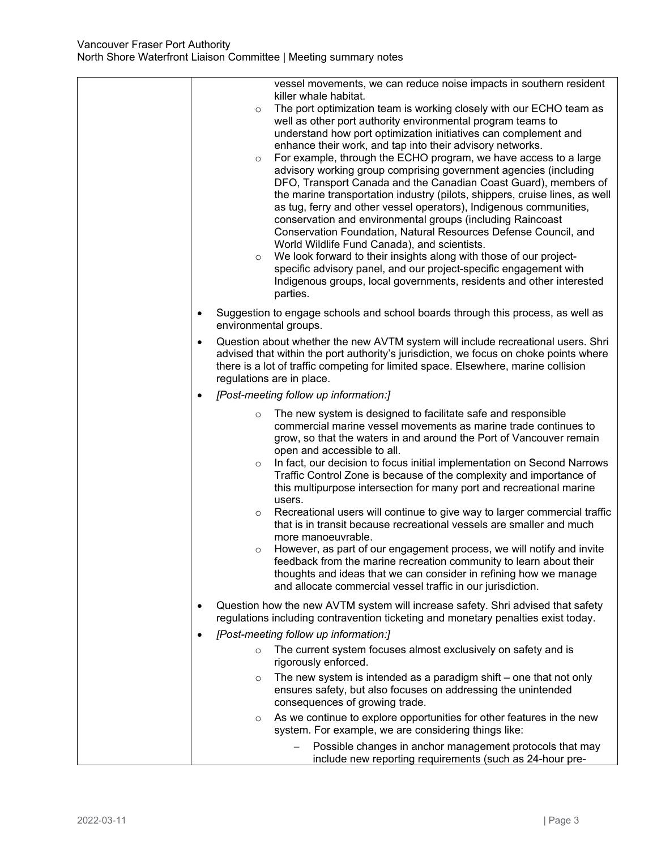| vessel movements, we can reduce noise impacts in southern resident<br>killer whale habitat.<br>The port optimization team is working closely with our ECHO team as<br>$\circ$<br>well as other port authority environmental program teams to<br>understand how port optimization initiatives can complement and<br>enhance their work, and tap into their advisory networks.<br>For example, through the ECHO program, we have access to a large<br>$\circ$<br>advisory working group comprising government agencies (including<br>DFO, Transport Canada and the Canadian Coast Guard), members of<br>the marine transportation industry (pilots, shippers, cruise lines, as well<br>as tug, ferry and other vessel operators), Indigenous communities,<br>conservation and environmental groups (including Raincoast<br>Conservation Foundation, Natural Resources Defense Council, and<br>World Wildlife Fund Canada), and scientists.<br>We look forward to their insights along with those of our project-<br>$\circ$<br>specific advisory panel, and our project-specific engagement with<br>Indigenous groups, local governments, residents and other interested<br>parties. |
|------------------------------------------------------------------------------------------------------------------------------------------------------------------------------------------------------------------------------------------------------------------------------------------------------------------------------------------------------------------------------------------------------------------------------------------------------------------------------------------------------------------------------------------------------------------------------------------------------------------------------------------------------------------------------------------------------------------------------------------------------------------------------------------------------------------------------------------------------------------------------------------------------------------------------------------------------------------------------------------------------------------------------------------------------------------------------------------------------------------------------------------------------------------------------------|
| Suggestion to engage schools and school boards through this process, as well as<br>environmental groups.                                                                                                                                                                                                                                                                                                                                                                                                                                                                                                                                                                                                                                                                                                                                                                                                                                                                                                                                                                                                                                                                           |
| Question about whether the new AVTM system will include recreational users. Shri<br>$\bullet$<br>advised that within the port authority's jurisdiction, we focus on choke points where<br>there is a lot of traffic competing for limited space. Elsewhere, marine collision<br>regulations are in place.                                                                                                                                                                                                                                                                                                                                                                                                                                                                                                                                                                                                                                                                                                                                                                                                                                                                          |
| [Post-meeting follow up information:]<br>$\bullet$                                                                                                                                                                                                                                                                                                                                                                                                                                                                                                                                                                                                                                                                                                                                                                                                                                                                                                                                                                                                                                                                                                                                 |
| The new system is designed to facilitate safe and responsible<br>$\circ$<br>commercial marine vessel movements as marine trade continues to<br>grow, so that the waters in and around the Port of Vancouver remain<br>open and accessible to all.<br>In fact, our decision to focus initial implementation on Second Narrows<br>$\circ$<br>Traffic Control Zone is because of the complexity and importance of<br>this multipurpose intersection for many port and recreational marine<br>users.<br>Recreational users will continue to give way to larger commercial traffic<br>$\circ$<br>that is in transit because recreational vessels are smaller and much<br>more manoeuvrable.<br>However, as part of our engagement process, we will notify and invite<br>$\circ$                                                                                                                                                                                                                                                                                                                                                                                                         |
| feedback from the marine recreation community to learn about their<br>thoughts and ideas that we can consider in refining how we manage<br>and allocate commercial vessel traffic in our jurisdiction.                                                                                                                                                                                                                                                                                                                                                                                                                                                                                                                                                                                                                                                                                                                                                                                                                                                                                                                                                                             |
| Question how the new AVTM system will increase safety. Shri advised that safety<br>regulations including contravention ticketing and monetary penalties exist today.                                                                                                                                                                                                                                                                                                                                                                                                                                                                                                                                                                                                                                                                                                                                                                                                                                                                                                                                                                                                               |
| [Post-meeting follow up information:]                                                                                                                                                                                                                                                                                                                                                                                                                                                                                                                                                                                                                                                                                                                                                                                                                                                                                                                                                                                                                                                                                                                                              |
| The current system focuses almost exclusively on safety and is<br>$\circ$<br>rigorously enforced.                                                                                                                                                                                                                                                                                                                                                                                                                                                                                                                                                                                                                                                                                                                                                                                                                                                                                                                                                                                                                                                                                  |
| The new system is intended as a paradigm shift $-$ one that not only<br>$\circ$<br>ensures safety, but also focuses on addressing the unintended<br>consequences of growing trade.                                                                                                                                                                                                                                                                                                                                                                                                                                                                                                                                                                                                                                                                                                                                                                                                                                                                                                                                                                                                 |
| As we continue to explore opportunities for other features in the new<br>$\circ$<br>system. For example, we are considering things like:                                                                                                                                                                                                                                                                                                                                                                                                                                                                                                                                                                                                                                                                                                                                                                                                                                                                                                                                                                                                                                           |
| Possible changes in anchor management protocols that may<br>include new reporting requirements (such as 24-hour pre-                                                                                                                                                                                                                                                                                                                                                                                                                                                                                                                                                                                                                                                                                                                                                                                                                                                                                                                                                                                                                                                               |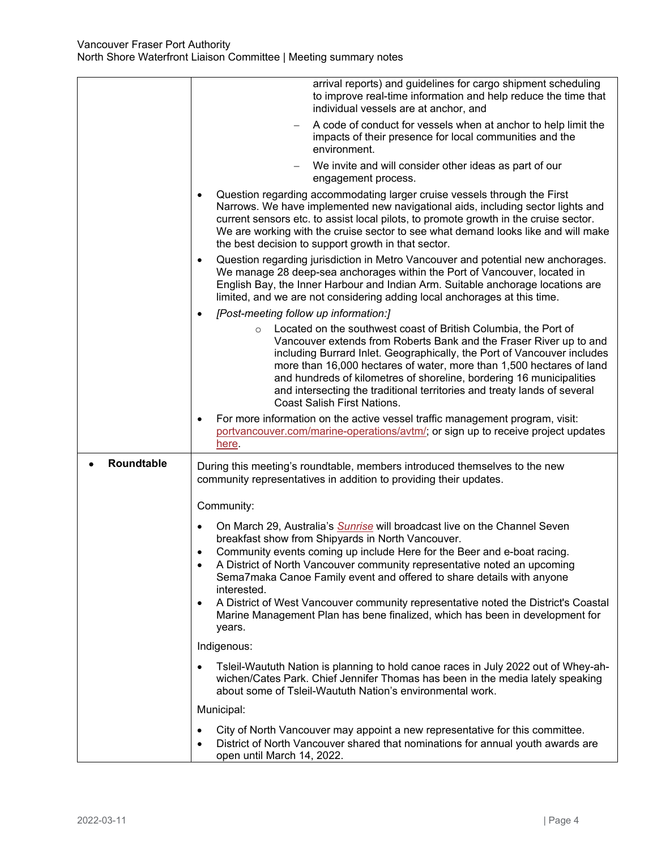|            | arrival reports) and guidelines for cargo shipment scheduling<br>to improve real-time information and help reduce the time that<br>individual vessels are at anchor, and                                                                                                                                                                                                                                                                                                                      |
|------------|-----------------------------------------------------------------------------------------------------------------------------------------------------------------------------------------------------------------------------------------------------------------------------------------------------------------------------------------------------------------------------------------------------------------------------------------------------------------------------------------------|
|            | A code of conduct for vessels when at anchor to help limit the<br>impacts of their presence for local communities and the<br>environment.                                                                                                                                                                                                                                                                                                                                                     |
|            | We invite and will consider other ideas as part of our<br>engagement process.                                                                                                                                                                                                                                                                                                                                                                                                                 |
|            | Question regarding accommodating larger cruise vessels through the First<br>$\bullet$<br>Narrows. We have implemented new navigational aids, including sector lights and<br>current sensors etc. to assist local pilots, to promote growth in the cruise sector.<br>We are working with the cruise sector to see what demand looks like and will make<br>the best decision to support growth in that sector.                                                                                  |
|            | Question regarding jurisdiction in Metro Vancouver and potential new anchorages.<br>$\bullet$<br>We manage 28 deep-sea anchorages within the Port of Vancouver, located in<br>English Bay, the Inner Harbour and Indian Arm. Suitable anchorage locations are<br>limited, and we are not considering adding local anchorages at this time.                                                                                                                                                    |
|            | [Post-meeting follow up information:]                                                                                                                                                                                                                                                                                                                                                                                                                                                         |
|            | Located on the southwest coast of British Columbia, the Port of<br>$\circ$<br>Vancouver extends from Roberts Bank and the Fraser River up to and<br>including Burrard Inlet. Geographically, the Port of Vancouver includes<br>more than 16,000 hectares of water, more than 1,500 hectares of land<br>and hundreds of kilometres of shoreline, bordering 16 municipalities<br>and intersecting the traditional territories and treaty lands of several<br><b>Coast Salish First Nations.</b> |
|            | For more information on the active vessel traffic management program, visit:<br>portvancouver.com/marine-operations/avtm/; or sign up to receive project updates<br><u>here</u>                                                                                                                                                                                                                                                                                                               |
| Roundtable | During this meeting's roundtable, members introduced themselves to the new<br>community representatives in addition to providing their updates.                                                                                                                                                                                                                                                                                                                                               |
|            | Community:                                                                                                                                                                                                                                                                                                                                                                                                                                                                                    |
|            | On March 29, Australia's <b>Sunrise</b> will broadcast live on the Channel Seven<br>breakfast show from Shipyards in North Vancouver.                                                                                                                                                                                                                                                                                                                                                         |
|            | Community events coming up include Here for the Beer and e-boat racing.                                                                                                                                                                                                                                                                                                                                                                                                                       |
|            | A District of North Vancouver community representative noted an upcoming<br>Sema7maka Canoe Family event and offered to share details with anyone<br>interested.                                                                                                                                                                                                                                                                                                                              |
|            | A District of West Vancouver community representative noted the District's Coastal<br>$\bullet$<br>Marine Management Plan has bene finalized, which has been in development for<br>years.                                                                                                                                                                                                                                                                                                     |
|            | Indigenous:                                                                                                                                                                                                                                                                                                                                                                                                                                                                                   |
|            | Tsleil-Waututh Nation is planning to hold canoe races in July 2022 out of Whey-ah-<br>wichen/Cates Park. Chief Jennifer Thomas has been in the media lately speaking<br>about some of Tsleil-Waututh Nation's environmental work.                                                                                                                                                                                                                                                             |
|            | Municipal:                                                                                                                                                                                                                                                                                                                                                                                                                                                                                    |
|            | City of North Vancouver may appoint a new representative for this committee.<br>$\bullet$<br>District of North Vancouver shared that nominations for annual youth awards are<br>$\bullet$<br>open until March 14, 2022.                                                                                                                                                                                                                                                                       |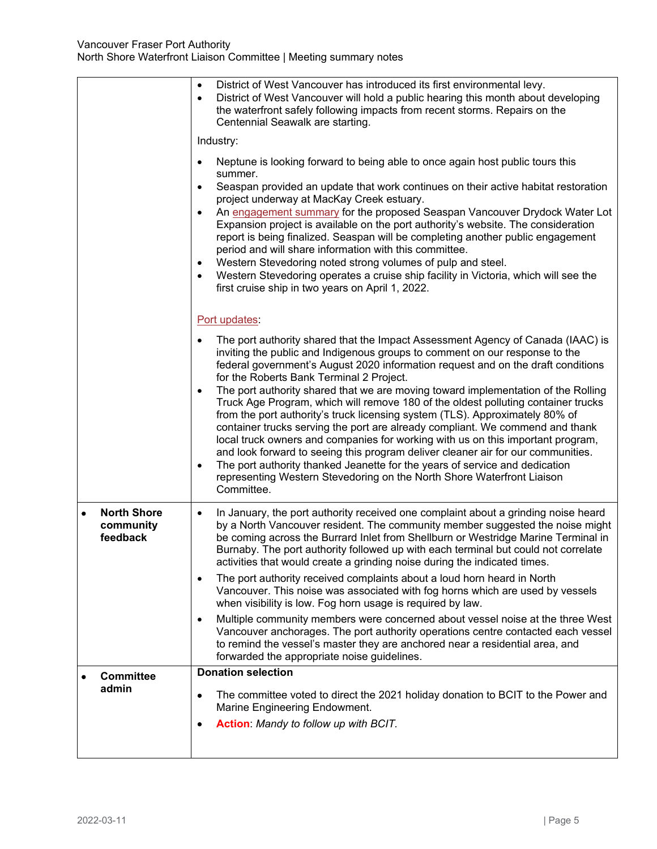|                                                          | District of West Vancouver has introduced its first environmental levy.<br>$\bullet$<br>District of West Vancouver will hold a public hearing this month about developing<br>$\bullet$<br>the waterfront safely following impacts from recent storms. Repairs on the<br>Centennial Seawalk are starting.<br>Industry:<br>Neptune is looking forward to being able to once again host public tours this<br>summer.<br>Seaspan provided an update that work continues on their active habitat restoration<br>$\bullet$<br>project underway at MacKay Creek estuary.<br>An engagement summary for the proposed Seaspan Vancouver Drydock Water Lot                                                                                                                                                                                                                                                                                                                                                                                    |
|----------------------------------------------------------|------------------------------------------------------------------------------------------------------------------------------------------------------------------------------------------------------------------------------------------------------------------------------------------------------------------------------------------------------------------------------------------------------------------------------------------------------------------------------------------------------------------------------------------------------------------------------------------------------------------------------------------------------------------------------------------------------------------------------------------------------------------------------------------------------------------------------------------------------------------------------------------------------------------------------------------------------------------------------------------------------------------------------------|
|                                                          | Expansion project is available on the port authority's website. The consideration<br>report is being finalized. Seaspan will be completing another public engagement<br>period and will share information with this committee.<br>Western Stevedoring noted strong volumes of pulp and steel.<br>$\bullet$<br>Western Stevedoring operates a cruise ship facility in Victoria, which will see the<br>$\bullet$<br>first cruise ship in two years on April 1, 2022.                                                                                                                                                                                                                                                                                                                                                                                                                                                                                                                                                                 |
|                                                          | Port updates:<br>The port authority shared that the Impact Assessment Agency of Canada (IAAC) is<br>inviting the public and Indigenous groups to comment on our response to the<br>federal government's August 2020 information request and on the draft conditions<br>for the Roberts Bank Terminal 2 Project.<br>The port authority shared that we are moving toward implementation of the Rolling<br>$\bullet$<br>Truck Age Program, which will remove 180 of the oldest polluting container trucks<br>from the port authority's truck licensing system (TLS). Approximately 80% of<br>container trucks serving the port are already compliant. We commend and thank<br>local truck owners and companies for working with us on this important program,<br>and look forward to seeing this program deliver cleaner air for our communities.<br>The port authority thanked Jeanette for the years of service and dedication<br>$\bullet$<br>representing Western Stevedoring on the North Shore Waterfront Liaison<br>Committee. |
| <b>North Shore</b><br>$\bullet$<br>community<br>feedback | In January, the port authority received one complaint about a grinding noise heard<br>$\bullet$<br>by a North Vancouver resident. The community member suggested the noise might<br>be coming across the Burrard Inlet from Shellburn or Westridge Marine Terminal in<br>Burnaby. The port authority followed up with each terminal but could not correlate<br>activities that would create a grinding noise during the indicated times.<br>The port authority received complaints about a loud horn heard in North<br>$\bullet$<br>Vancouver. This noise was associated with fog horns which are used by vessels<br>when visibility is low. Fog horn usage is required by law.<br>Multiple community members were concerned about vessel noise at the three West<br>$\bullet$<br>Vancouver anchorages. The port authority operations centre contacted each vessel<br>to remind the vessel's master they are anchored near a residential area, and                                                                                 |
| <b>Committee</b><br>admin                                | forwarded the appropriate noise guidelines.<br><b>Donation selection</b><br>The committee voted to direct the 2021 holiday donation to BCIT to the Power and<br>$\bullet$<br>Marine Engineering Endowment.<br><b>Action:</b> Mandy to follow up with BCIT.<br>$\bullet$                                                                                                                                                                                                                                                                                                                                                                                                                                                                                                                                                                                                                                                                                                                                                            |